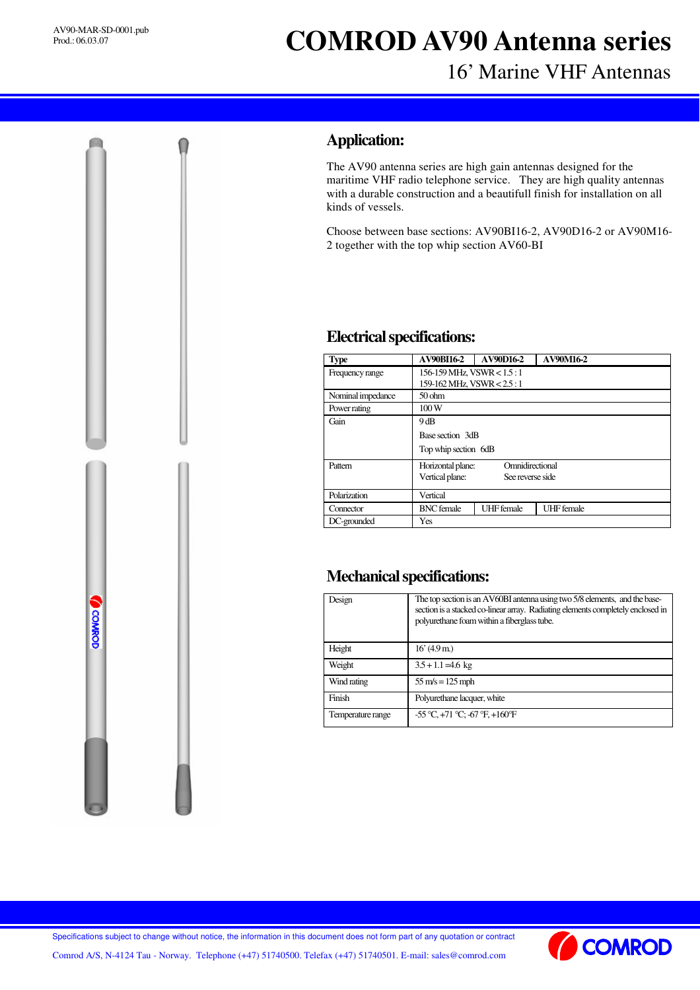**OGNAROD** 

# **COMROD AV90 Antenna series**

# 16' Marine VHF Antennas

### **Application:**

The AV90 antenna series are high gain antennas designed for the maritime VHF radio telephone service. They are high quality antennas with a durable construction and a beautifull finish for installation on all kinds of vessels.

Choose between base sections: AV90BI16-2, AV90D16-2 or AV90M16- 2 together with the top whip section AV60-BI

#### **Electricalspecifications:**

| <b>Type</b>       | <b>AV90BI16-2</b>                    | <b>AV90D16-2</b>  | <b>AV90M16-2</b>  |  |
|-------------------|--------------------------------------|-------------------|-------------------|--|
| Frequency range   | $156-159$ MHz, VSWR $< 1.5:1$        |                   |                   |  |
|                   | 159-162 MHz, VSWR < 2.5 : 1          |                   |                   |  |
| Nominal impedance | 50 <sub>ohm</sub>                    |                   |                   |  |
| Power rating      | 100W                                 |                   |                   |  |
| Gain              | 9dB                                  |                   |                   |  |
|                   | Base section 3dB                     |                   |                   |  |
|                   | Top whip section 6dB                 |                   |                   |  |
| Pattern           | Omnidirectional<br>Horizontal plane: |                   |                   |  |
|                   | Vertical plane:                      | See reverse side  |                   |  |
| Polarization      | Vertical                             |                   |                   |  |
| Connector         | <b>BNC</b> female                    | <b>UHF</b> female | <b>UHF</b> female |  |
| DC-grounded       | Yes                                  |                   |                   |  |

# **Mechanical specifications:**

| Design            | The top section is an AV60BI antenna using two 5/8 elements, and the base-<br>section is a stacked co-linear array. Radiating elements completely enclosed in<br>polyurethane foam within a fiberglass tube. |  |
|-------------------|--------------------------------------------------------------------------------------------------------------------------------------------------------------------------------------------------------------|--|
| Height            | 16' (4.9 m)                                                                                                                                                                                                  |  |
| Weight            | $3.5 + 1.1 = 4.6$ kg                                                                                                                                                                                         |  |
| Wind rating       | $55 \text{ m/s} = 125 \text{ mph}$                                                                                                                                                                           |  |
| Finish            | Polyurethane lacquer, white                                                                                                                                                                                  |  |
| Temperature range | $-55^{\circ}$ C, $+71^{\circ}$ C; $-67^{\circ}$ F, $+160^{\circ}$ F                                                                                                                                          |  |

Specifications subject to change without notice, the information in this document does not form part of any quotation or contract

**COMROD** 

Comrod A/S, N-4124 Tau - Norway. Telephone (+47) 51740500. Telefax (+47) 51740501. E-mail: sales@comrod.com